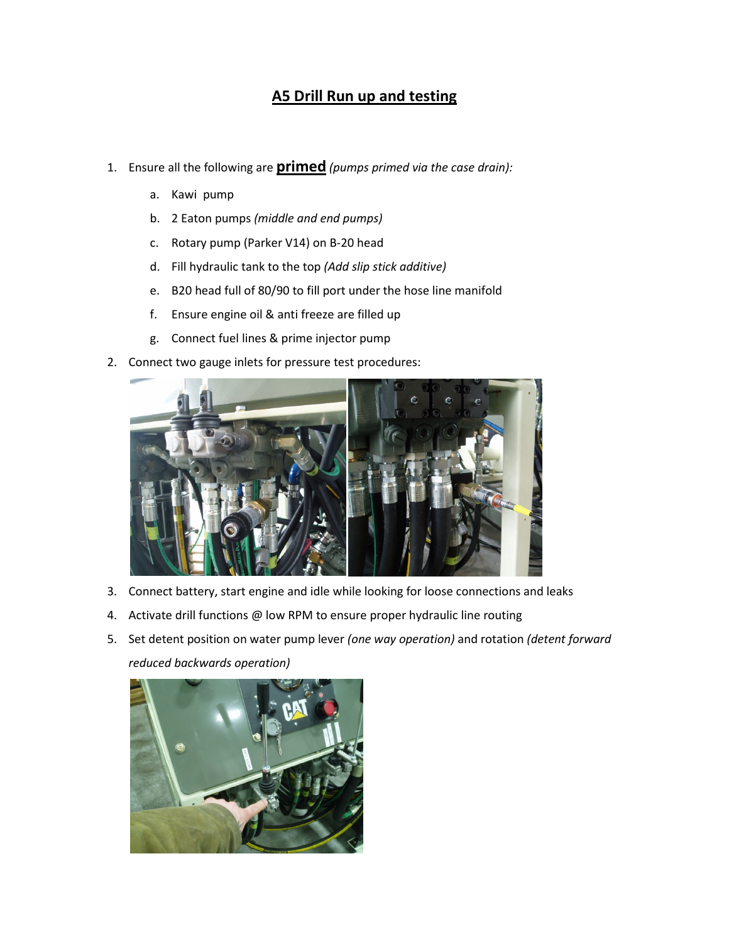## A5 Drill Run up and testing

- 1. Ensure all the following are **primed** (pumps primed via the case drain):
	- a. Kawi pump
	- b. 2 Eaton pumps (middle and end pumps)
	- c. Rotary pump (Parker V14) on B-20 head
	- d. Fill hydraulic tank to the top (Add slip stick additive)
	- e. B20 head full of 80/90 to fill port under the hose line manifold
	- f. Ensure engine oil & anti freeze are filled up
	- g. Connect fuel lines & prime injector pump
- 2. Connect two gauge inlets for pressure test procedures:



- 3. Connect battery, start engine and idle while looking for loose connections and leaks
- 4. Activate drill functions @ low RPM to ensure proper hydraulic line routing
- 5. Set detent position on water pump lever (one way operation) and rotation (detent forward reduced backwards operation)

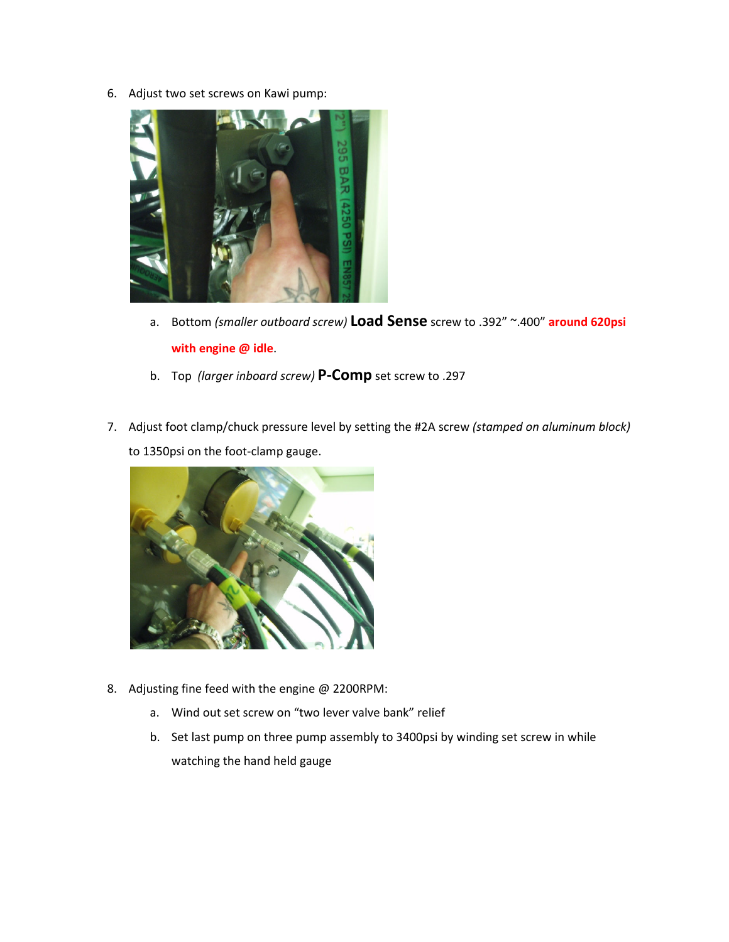6. Adjust two set screws on Kawi pump:



- a. Bottom (smaller outboard screw) Load Sense screw to .392" ~.400" around 620psi with engine @ idle.
- b. Top (larger inboard screw) P-Comp set screw to .297
- 7. Adjust foot clamp/chuck pressure level by setting the #2A screw (stamped on aluminum block) to 1350psi on the foot-clamp gauge.



- 8. Adjusting fine feed with the engine @ 2200RPM:
	- a. Wind out set screw on "two lever valve bank" relief
	- b. Set last pump on three pump assembly to 3400psi by winding set screw in while watching the hand held gauge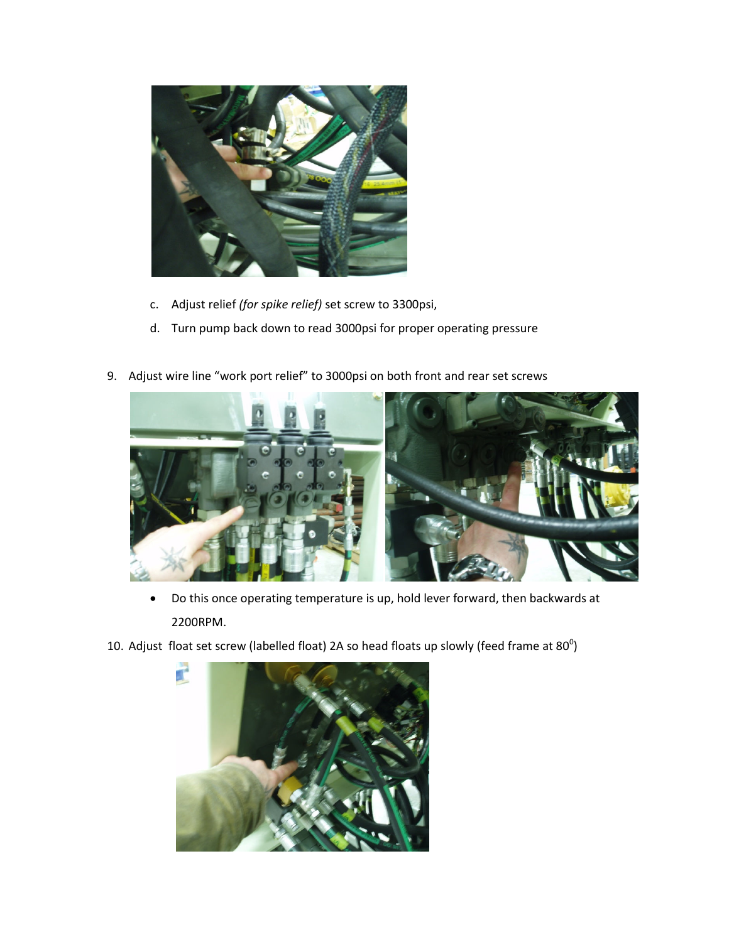

- c. Adjust relief (for spike relief) set screw to 3300psi,
- d. Turn pump back down to read 3000psi for proper operating pressure
- 9. Adjust wire line "work port relief" to 3000psi on both front and rear set screws



- Do this once operating temperature is up, hold lever forward, then backwards at 2200RPM.
- 10. Adjust float set screw (labelled float) 2A so head floats up slowly (feed frame at 80 $^{\circ}$ )

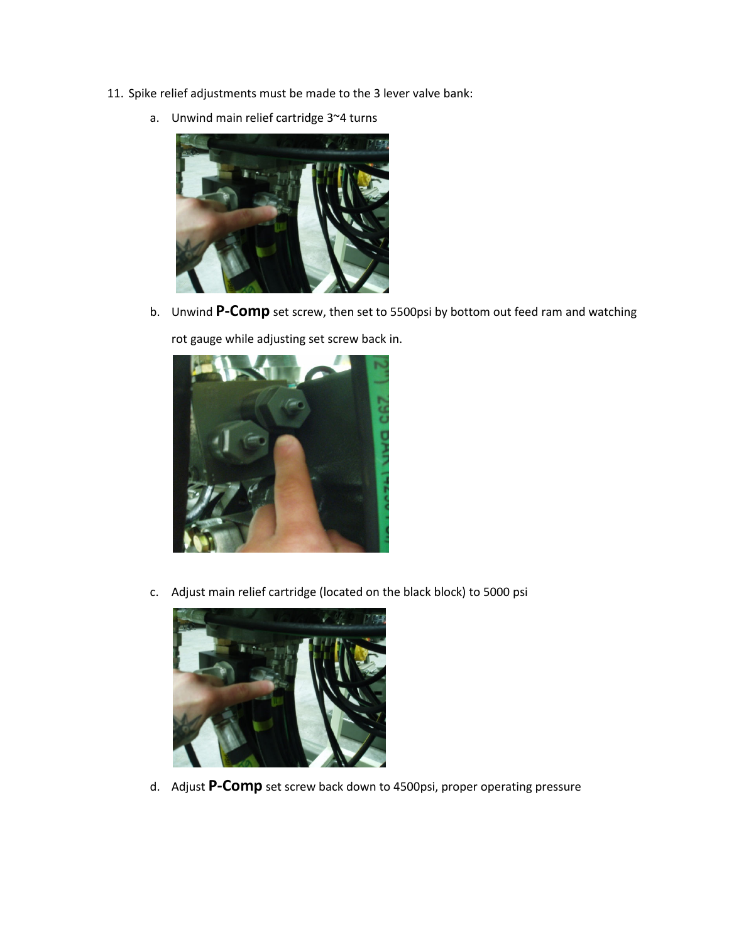11. Spike relief adjustments must be made to the 3 lever valve bank:



a. Unwind main relief cartridge 3~4 turns

b. Unwind P-Comp set screw, then set to 5500psi by bottom out feed ram and watching rot gauge while adjusting set screw back in.



c. Adjust main relief cartridge (located on the black block) to 5000 psi



d. Adjust P-Comp set screw back down to 4500psi, proper operating pressure